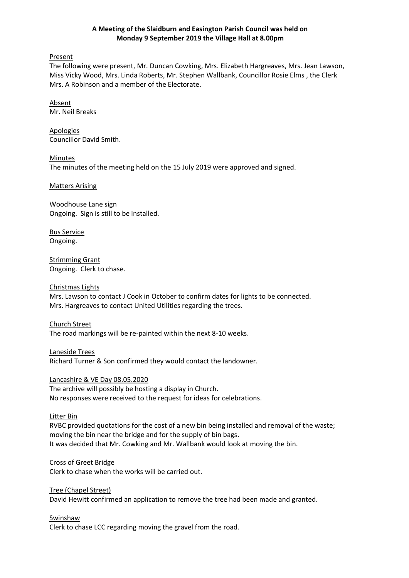### **A Meeting of the Slaidburn and Easington Parish Council was held on Monday 9 September 2019 the Village Hall at 8.00pm**

Present

The following were present, Mr. Duncan Cowking, Mrs. Elizabeth Hargreaves, Mrs. Jean Lawson, Miss Vicky Wood, Mrs. Linda Roberts, Mr. Stephen Wallbank, Councillor Rosie Elms , the Clerk Mrs. A Robinson and a member of the Electorate.

Absent Mr. Neil Breaks

Apologies Councillor David Smith.

**Minutes** The minutes of the meeting held on the 15 July 2019 were approved and signed.

Matters Arising

Woodhouse Lane sign Ongoing. Sign is still to be installed.

Bus Service Ongoing.

Strimming Grant Ongoing. Clerk to chase.

# Christmas Lights

Mrs. Lawson to contact J Cook in October to confirm dates for lights to be connected. Mrs. Hargreaves to contact United Utilities regarding the trees.

Church Street The road markings will be re-painted within the next 8-10 weeks.

Laneside Trees Richard Turner & Son confirmed they would contact the landowner.

Lancashire & VE Day 08.05.2020

The archive will possibly be hosting a display in Church. No responses were received to the request for ideas for celebrations.

### Litter Bin

RVBC provided quotations for the cost of a new bin being installed and removal of the waste; moving the bin near the bridge and for the supply of bin bags. It was decided that Mr. Cowking and Mr. Wallbank would look at moving the bin.

Cross of Greet Bridge

Clerk to chase when the works will be carried out.

Tree (Chapel Street)

David Hewitt confirmed an application to remove the tree had been made and granted.

Swinshaw

Clerk to chase LCC regarding moving the gravel from the road.